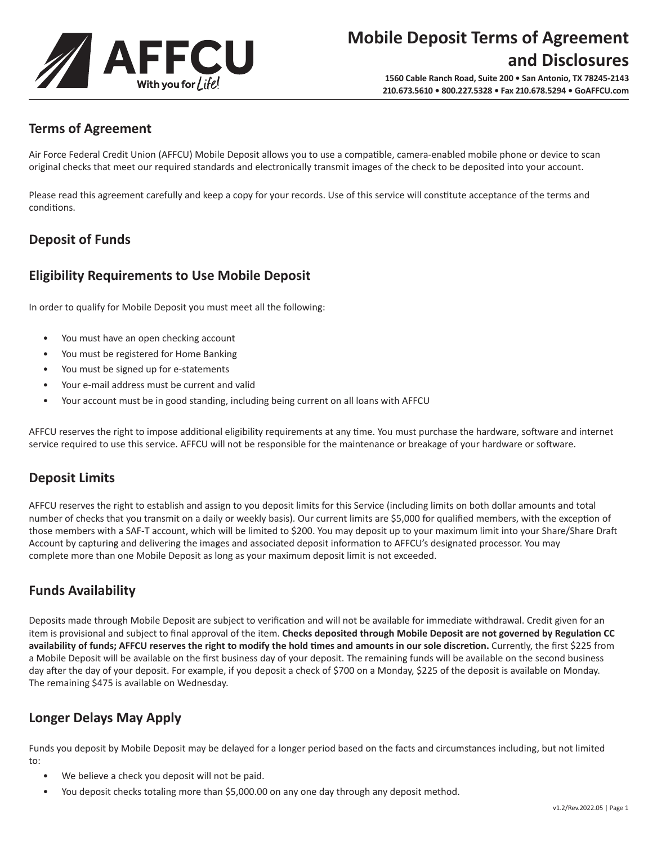

# **Mobile Deposit Terms of Agreement and Disclosures**

**1560 Cable Ranch Road, Suite 200 • San Antonio, TX 78245-2143 210.673.5610 • 800.227.5328 • Fax 210.678.5294 • GoAFFCU.com**

# **Terms of Agreement**

Air Force Federal Credit Union (AFFCU) Mobile Deposit allows you to use a compatible, camera-enabled mobile phone or device to scan original checks that meet our required standards and electronically transmit images of the check to be deposited into your account.

Please read this agreement carefully and keep a copy for your records. Use of this service will constitute acceptance of the terms and conditions.

# **Deposit of Funds**

## **Eligibility Requirements to Use Mobile Deposit**

In order to qualify for Mobile Deposit you must meet all the following:

- You must have an open checking account
- You must be registered for Home Banking
- You must be signed up for e-statements
- Your e-mail address must be current and valid
- Your account must be in good standing, including being current on all loans with AFFCU

AFFCU reserves the right to impose additional eligibility requirements at any time. You must purchase the hardware, software and internet service required to use this service. AFFCU will not be responsible for the maintenance or breakage of your hardware or software.

### **Deposit Limits**

AFFCU reserves the right to establish and assign to you deposit limits for this Service (including limits on both dollar amounts and total number of checks that you transmit on a daily or weekly basis). Our current limits are \$5,000 for qualified members, with the exception of those members with a SAF-T account, which will be limited to \$200. You may deposit up to your maximum limit into your Share/Share Draft Account by capturing and delivering the images and associated deposit information to AFFCU's designated processor. You may complete more than one Mobile Deposit as long as your maximum deposit limit is not exceeded.

# **Funds Availability**

Deposits made through Mobile Deposit are subject to verification and will not be available for immediate withdrawal. Credit given for an item is provisional and subject to final approval of the item. **Checks deposited through Mobile Deposit are not governed by Regulation CC availability of funds; AFFCU reserves the right to modify the hold times and amounts in our sole discretion.** Currently, the first \$225 from a Mobile Deposit will be available on the first business day of your deposit. The remaining funds will be available on the second business day after the day of your deposit. For example, if you deposit a check of \$700 on a Monday, \$225 of the deposit is available on Monday. The remaining \$475 is available on Wednesday.

# **Longer Delays May Apply**

Funds you deposit by Mobile Deposit may be delayed for a longer period based on the facts and circumstances including, but not limited to:

- We believe a check you deposit will not be paid.
- You deposit checks totaling more than \$5,000.00 on any one day through any deposit method.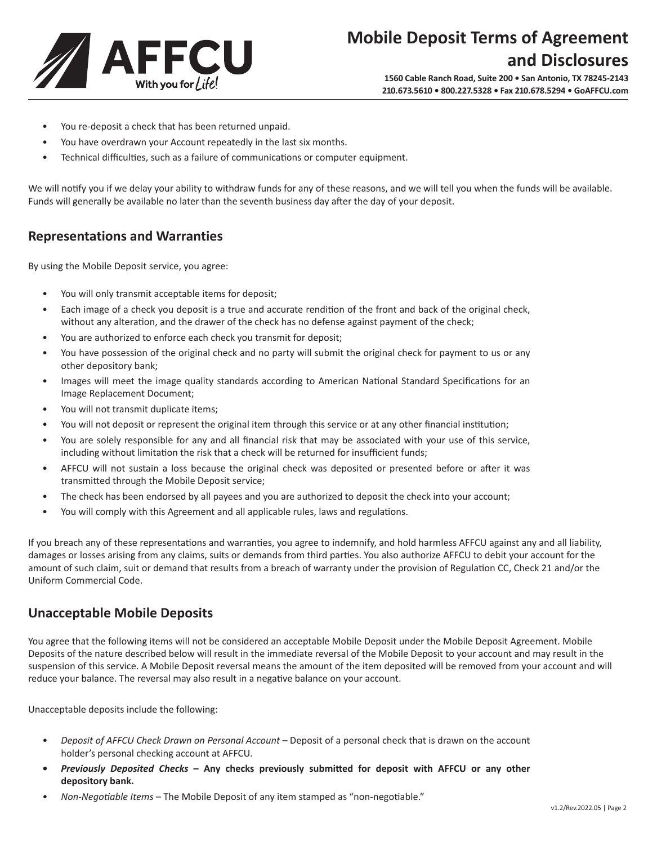

- You re-deposit a check that has been returned unpaid.
- You have overdrawn your Account repeatedly in the last six months.
- Technical difficulties, such as a failure of communications or computer equipment.

We will notify you if we delay your ability to withdraw funds for any of these reasons, and we will tell you when the funds will be available. Funds will generally be available no later than the seventh business day after the day of your deposit.

#### **Representations and Warranties**

By using the Mobile Deposit service, you agree:

- You will only transmit acceptable items for deposit;
- Each image of a check you deposit is a true and accurate rendition of the front and back of the original check, without any alteration, and the drawer of the check has no defense against payment of the check;
- You are authorized to enforce each check you transmit for deposit;
- You have possession of the original check and no party will submit the original check for payment to us or any other depository bank;
- Images will meet the image quality standards according to American National Standard Specifications for an Image Replacement Document;
- You will not transmit duplicate items;
- You will not deposit or represent the original item through this service or at any other financial institution;
- You are solely responsible for any and all financial risk that may be associated with your use of this service, including without limitation the risk that a check will be returned for insufficient funds;
- AFFCU will not sustain a loss because the original check was deposited or presented before or after it was transmitted through the Mobile Deposit service;
- The check has been endorsed by all payees and you are authorized to deposit the check into your account;
- You will comply with this Agreement and all applicable rules, laws and regulations.

If you breach any of these representations and warranties, you agree to indemnify, and hold harmless AFFCU against any and all liability, damages or losses arising from any claims, suits or demands from third parties. You also authorize AFFCU to debit your account for the amount of such claim, suit or demand that results from a breach of warranty under the provision of Regulation CC, Check 21 and/or the Uniform Commercial Code.

### **Unacceptable Mobile Deposits**

You agree that the following items will not be considered an acceptable Mobile Deposit under the Mobile Deposit Agreement. Mobile Deposits of the nature described below will result in the immediate reversal of the Mobile Deposit to your account and may result in the suspension of this service. A Mobile Deposit reversal means the amount of the item deposited will be removed from your account and will reduce your balance. The reversal may also result in a negative balance on your account.

Unacceptable deposits include the following:

- *• Deposit of AFFCU Check Drawn on Personal Account* Deposit of a personal check that is drawn on the account holder's personal checking account at AFFCU.
- *• Previously Deposited Checks*  **Any checks previously submitted for deposit with AFFCU or any other depository bank.**
- *• Non-Negotiable Items*  The Mobile Deposit of any item stamped as "non-negotiable."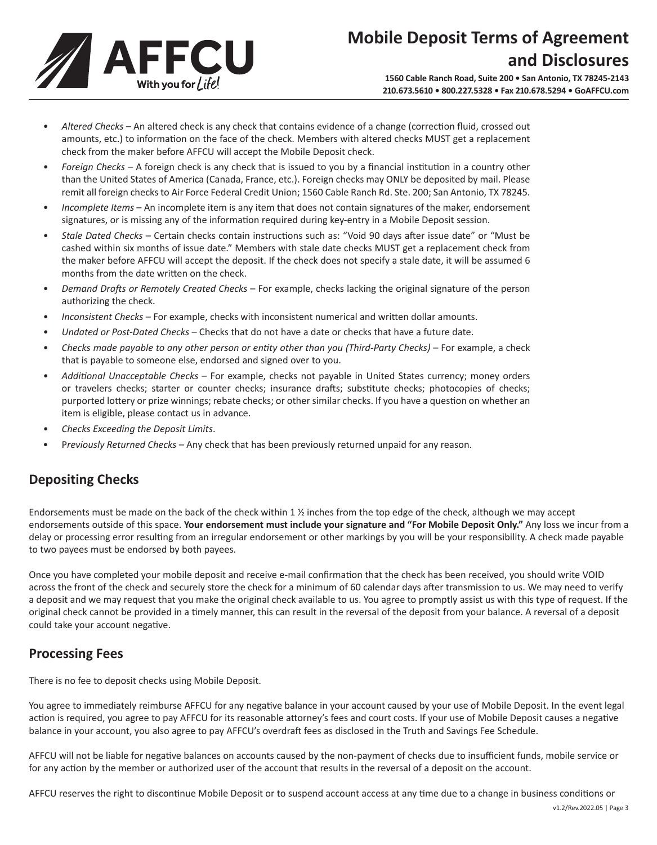

- *• Altered Checks* An altered check is any check that contains evidence of a change (correction fluid, crossed out amounts, etc.) to information on the face of the check. Members with altered checks MUST get a replacement check from the maker before AFFCU will accept the Mobile Deposit check.
- *• Foreign Checks* A foreign check is any check that is issued to you by a financial institution in a country other than the United States of America (Canada, France, etc.). Foreign checks may ONLY be deposited by mail. Please remit all foreign checks to Air Force Federal Credit Union; 1560 Cable Ranch Rd. Ste. 200; San Antonio, TX 78245.
- *• Incomplete Items* An incomplete item is any item that does not contain signatures of the maker, endorsement signatures, or is missing any of the information required during key-entry in a Mobile Deposit session.
- *• Stale Dated Checks* Certain checks contain instructions such as: "Void 90 days after issue date" or "Must be cashed within six months of issue date." Members with stale date checks MUST get a replacement check from the maker before AFFCU will accept the deposit. If the check does not specify a stale date, it will be assumed 6 months from the date written on the check.
- *• Demand Drafts or Remotely Created Checks* For example, checks lacking the original signature of the person authorizing the check.
- *• Inconsistent Checks* For example, checks with inconsistent numerical and written dollar amounts.
- *• Undated or Post-Dated Checks* Checks that do not have a date or checks that have a future date.
- *• Checks made payable to any other person or entity other than you (Third-Party Checks)* For example, a check that is payable to someone else, endorsed and signed over to you.
- *• Additional Unacceptable Checks* For example, checks not payable in United States currency; money orders or travelers checks; starter or counter checks; insurance drafts; substitute checks; photocopies of checks; purported lottery or prize winnings; rebate checks; or other similar checks. If you have a question on whether an item is eligible, please contact us in advance.
- *• Checks Exceeding the Deposit Limits*.
- P*reviously Returned Checks*  Any check that has been previously returned unpaid for any reason.

# **Depositing Checks**

Endorsements must be made on the back of the check within 1  $\frac{1}{2}$  inches from the top edge of the check, although we may accept endorsements outside of this space. **Your endorsement must include your signature and "For Mobile Deposit Only."** Any loss we incur from a delay or processing error resulting from an irregular endorsement or other markings by you will be your responsibility. A check made payable to two payees must be endorsed by both payees.

Once you have completed your mobile deposit and receive e-mail confirmation that the check has been received, you should write VOID across the front of the check and securely store the check for a minimum of 60 calendar days after transmission to us. We may need to verify a deposit and we may request that you make the original check available to us. You agree to promptly assist us with this type of request. If the original check cannot be provided in a timely manner, this can result in the reversal of the deposit from your balance. A reversal of a deposit could take your account negative.

### **Processing Fees**

There is no fee to deposit checks using Mobile Deposit.

You agree to immediately reimburse AFFCU for any negative balance in your account caused by your use of Mobile Deposit. In the event legal action is required, you agree to pay AFFCU for its reasonable attorney's fees and court costs. If your use of Mobile Deposit causes a negative balance in your account, you also agree to pay AFFCU's overdraft fees as disclosed in the Truth and Savings Fee Schedule.

AFFCU will not be liable for negative balances on accounts caused by the non-payment of checks due to insufficient funds, mobile service or for any action by the member or authorized user of the account that results in the reversal of a deposit on the account.

AFFCU reserves the right to discontinue Mobile Deposit or to suspend account access at any time due to a change in business conditions or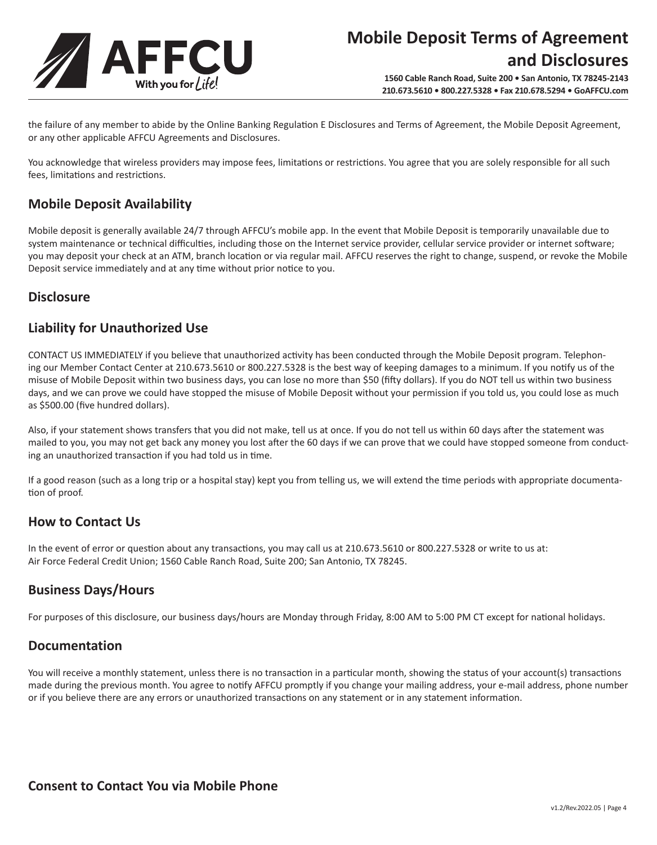

the failure of any member to abide by the Online Banking Regulation E Disclosures and Terms of Agreement, the Mobile Deposit Agreement, or any other applicable AFFCU Agreements and Disclosures.

You acknowledge that wireless providers may impose fees, limitations or restrictions. You agree that you are solely responsible for all such fees, limitations and restrictions.

## **Mobile Deposit Availability**

Mobile deposit is generally available 24/7 through AFFCU's mobile app. In the event that Mobile Deposit is temporarily unavailable due to system maintenance or technical difficulties, including those on the Internet service provider, cellular service provider or internet software; you may deposit your check at an ATM, branch location or via regular mail. AFFCU reserves the right to change, suspend, or revoke the Mobile Deposit service immediately and at any time without prior notice to you.

### **Disclosure**

## **Liability for Unauthorized Use**

CONTACT US IMMEDIATELY if you believe that unauthorized activity has been conducted through the Mobile Deposit program. Telephoning our Member Contact Center at 210.673.5610 or 800.227.5328 is the best way of keeping damages to a minimum. If you notify us of the misuse of Mobile Deposit within two business days, you can lose no more than \$50 (fifty dollars). If you do NOT tell us within two business days, and we can prove we could have stopped the misuse of Mobile Deposit without your permission if you told us, you could lose as much as \$500.00 (five hundred dollars).

Also, if your statement shows transfers that you did not make, tell us at once. If you do not tell us within 60 days after the statement was mailed to you, you may not get back any money you lost after the 60 days if we can prove that we could have stopped someone from conducting an unauthorized transaction if you had told us in time.

If a good reason (such as a long trip or a hospital stay) kept you from telling us, we will extend the time periods with appropriate documentation of proof.

# **How to Contact Us**

In the event of error or question about any transactions, you may call us at 210.673.5610 or 800.227.5328 or write to us at: Air Force Federal Credit Union; 1560 Cable Ranch Road, Suite 200; San Antonio, TX 78245.

### **Business Days/Hours**

For purposes of this disclosure, our business days/hours are Monday through Friday, 8:00 AM to 5:00 PM CT except for national holidays.

### **Documentation**

You will receive a monthly statement, unless there is no transaction in a particular month, showing the status of your account(s) transactions made during the previous month. You agree to notify AFFCU promptly if you change your mailing address, your e-mail address, phone number or if you believe there are any errors or unauthorized transactions on any statement or in any statement information.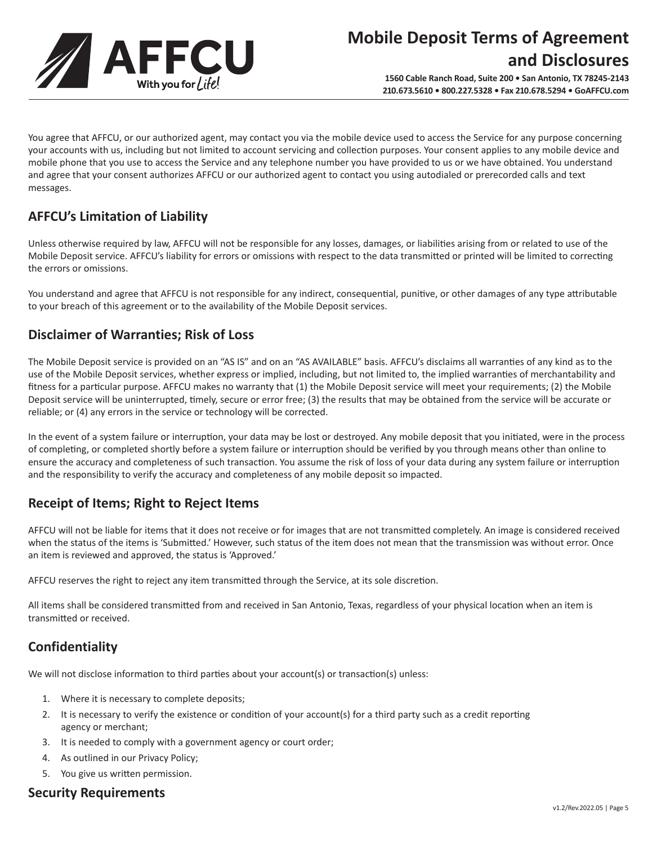

You agree that AFFCU, or our authorized agent, may contact you via the mobile device used to access the Service for any purpose concerning your accounts with us, including but not limited to account servicing and collection purposes. Your consent applies to any mobile device and mobile phone that you use to access the Service and any telephone number you have provided to us or we have obtained. You understand and agree that your consent authorizes AFFCU or our authorized agent to contact you using autodialed or prerecorded calls and text messages.

# **AFFCU's Limitation of Liability**

Unless otherwise required by law, AFFCU will not be responsible for any losses, damages, or liabilities arising from or related to use of the Mobile Deposit service. AFFCU's liability for errors or omissions with respect to the data transmitted or printed will be limited to correcting the errors or omissions.

You understand and agree that AFFCU is not responsible for any indirect, consequential, punitive, or other damages of any type attributable to your breach of this agreement or to the availability of the Mobile Deposit services.

# **Disclaimer of Warranties; Risk of Loss**

The Mobile Deposit service is provided on an "AS IS" and on an "AS AVAILABLE" basis. AFFCU's disclaims all warranties of any kind as to the use of the Mobile Deposit services, whether express or implied, including, but not limited to, the implied warranties of merchantability and fitness for a particular purpose. AFFCU makes no warranty that (1) the Mobile Deposit service will meet your requirements; (2) the Mobile Deposit service will be uninterrupted, timely, secure or error free; (3) the results that may be obtained from the service will be accurate or reliable; or (4) any errors in the service or technology will be corrected.

In the event of a system failure or interruption, your data may be lost or destroyed. Any mobile deposit that you initiated, were in the process of completing, or completed shortly before a system failure or interruption should be verified by you through means other than online to ensure the accuracy and completeness of such transaction. You assume the risk of loss of your data during any system failure or interruption and the responsibility to verify the accuracy and completeness of any mobile deposit so impacted.

# **Receipt of Items; Right to Reject Items**

AFFCU will not be liable for items that it does not receive or for images that are not transmitted completely. An image is considered received when the status of the items is 'Submitted.' However, such status of the item does not mean that the transmission was without error. Once an item is reviewed and approved, the status is 'Approved.'

AFFCU reserves the right to reject any item transmitted through the Service, at its sole discretion.

All items shall be considered transmitted from and received in San Antonio, Texas, regardless of your physical location when an item is transmitted or received.

# **Confidentiality**

We will not disclose information to third parties about your account(s) or transaction(s) unless:

- 1. Where it is necessary to complete deposits;
- 2. It is necessary to verify the existence or condition of your account(s) for a third party such as a credit reporting agency or merchant;
- 3. It is needed to comply with a government agency or court order;
- 4. As outlined in our Privacy Policy;
- 5. You give us written permission.

#### **Security Requirements**